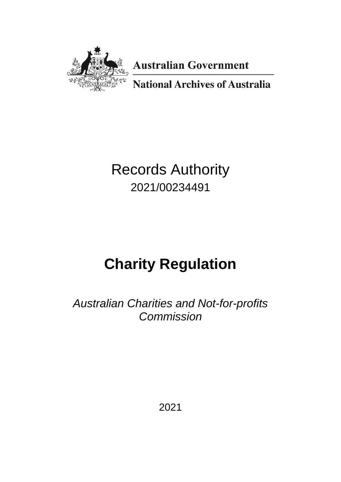

**Australian Government** 

**National Archives of Australia** 

# Records Authority 2021/00234491

# **Charity Regulation**

*Australian Charities and Not-for-profits Commission*

2021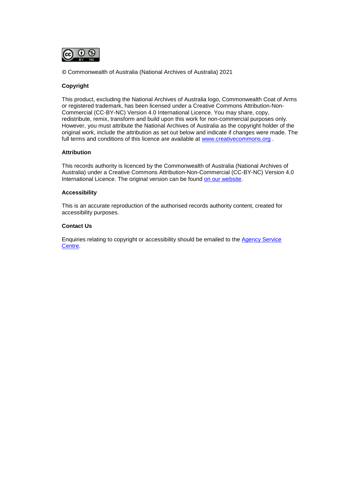

© Commonwealth of Australia (National Archives of Australia) 2021

### **Copyright**

This product, excluding the National Archives of Australia logo, Commonwealth Coat of Arms or registered trademark, has been licensed under a Creative Commons Attribution-Non-Commercial (CC-BY-NC) Version 4.0 International Licence. You may share, copy, redistribute, remix, transform and build upon this work for non-commercial purposes only. However, you must attribute the National Archives of Australia as the copyright holder of the original work, include the attribution as set out below and indicate if changes were made. The full terms and conditions of this licence are available at [www.creativecommons.org](http://www.creativecommons.org/) .

#### **Attribution**

This records authority is licenced by the Commonwealth of Australia (National Archives of Australia) under a Creative Commons Attribution-Non-Commercial (CC-BY-NC) Version 4.0 International Licence. The original version can be found [on our website.](http://www.naa.gov.au/)

#### **Accessibility**

This is an accurate reproduction of the authorised records authority content, created for accessibility purposes.

#### **Contact Us**

Enquiries relating to copyright or accessibility should be emailed to the [Agency Service](http://reftracker.naa.gov.au/reft100.aspx?key=ASC)  [Centre.](http://reftracker.naa.gov.au/reft100.aspx?key=ASC)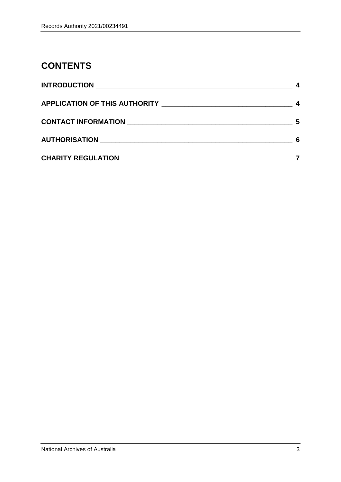# **CONTENTS**

| APPLICATION OF THIS AUTHORITY ______________________________ |    |
|--------------------------------------------------------------|----|
|                                                              | .5 |
|                                                              | 6  |
| <b>CHARITY REGULATION EXAMPLE AND REGULATION</b>             |    |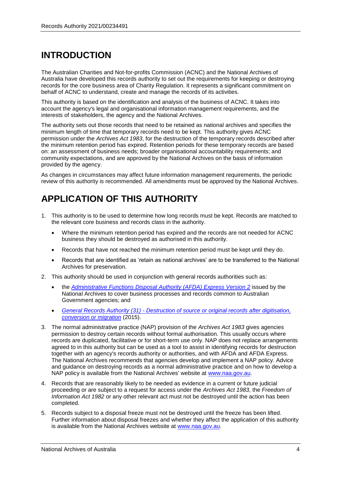# **INTRODUCTION**

The Australian Charities and Not-for-profits Commission (ACNC) and the National Archives of Australia have developed this records authority to set out the requirements for keeping or destroying records for the core business area of Charity Regulation. It represents a significant commitment on behalf of ACNC to understand, create and manage the records of its activities.

This authority is based on the identification and analysis of the business of ACNC. It takes into account the agency's legal and organisational information management requirements, and the interests of stakeholders, the agency and the National Archives.

The authority sets out those records that need to be retained as national archives and specifies the minimum length of time that temporary records need to be kept. This authority gives ACNC permission under the *Archives Act 1983*, for the destruction of the temporary records described after the minimum retention period has expired. Retention periods for these temporary records are based on: an assessment of business needs; broader organisational accountability requirements; and community expectations, and are approved by the National Archives on the basis of information provided by the agency.

As changes in circumstances may affect future information management requirements, the periodic review of this authority is recommended. All amendments must be approved by the National Archives.

# **APPLICATION OF THIS AUTHORITY**

- 1. This authority is to be used to determine how long records must be kept. Records are matched to the relevant core business and records class in the authority.
	- Where the minimum retention period has expired and the records are not needed for ACNC business they should be destroyed as authorised in this authority.
	- Records that have not reached the minimum retention period must be kept until they do.
	- Records that are identified as 'retain as national archives' are to be transferred to the National Archives for preservation.
- 2. This authority should be used in conjunction with general records authorities such as:
	- the *[Administrative Functions Disposal Authority \(AFDA\) Express Version 2](https://www.naa.gov.au/information-management/records-authorities/types-records-authorities/afda-express-version-2-functions)* issued by the National Archives to cover business processes and records common to Australian Government agencies; and
	- *General Records Authority (31) - [Destruction of source or original records after digitisation,](https://www.naa.gov.au/information-management/records-authorities/types-records-authorities/general-records-authority-31)  [conversion or migration](https://www.naa.gov.au/information-management/records-authorities/types-records-authorities/general-records-authority-31)* (2015).
- 3. The normal administrative practice (NAP) provision of the *Archives Act 1983* gives agencies permission to destroy certain records without formal authorisation. This usually occurs where records are duplicated, facilitative or for short-term use only. NAP does not replace arrangements agreed to in this authority but can be used as a tool to assist in identifying records for destruction together with an agency's records authority or authorities, and with AFDA and AFDA Express. The National Archives recommends that agencies develop and implement a NAP policy. Advice and guidance on destroying records as a normal administrative practice and on how to develop a NAP policy is available from the National Archives' website at [www.naa.gov.au.](http://www.naa.gov.au/)
- 4. Records that are reasonably likely to be needed as evidence in a current or future judicial proceeding or are subject to a request for access under the *Archives Act 1983*, the *Freedom of Information Act 1982* or any other relevant act must not be destroyed until the action has been completed.
- 5. Records subject to a disposal freeze must not be destroyed until the freeze has been lifted. Further information about disposal freezes and whether they affect the application of this authority is available from the National Archives website at [www.naa.gov.au.](http://www.naa.gov.au/)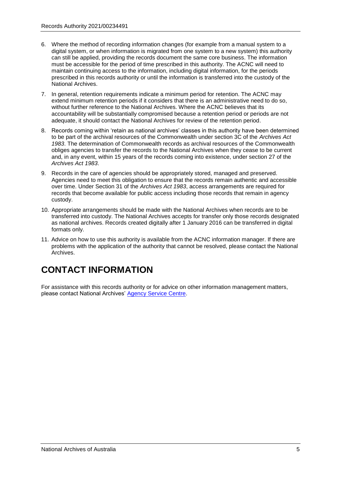- 6. Where the method of recording information changes (for example from a manual system to a digital system, or when information is migrated from one system to a new system) this authority can still be applied, providing the records document the same core business. The information must be accessible for the period of time prescribed in this authority. The ACNC will need to maintain continuing access to the information, including digital information, for the periods prescribed in this records authority or until the information is transferred into the custody of the National Archives.
- 7. In general, retention requirements indicate a minimum period for retention. The ACNC may extend minimum retention periods if it considers that there is an administrative need to do so, without further reference to the National Archives. Where the ACNC believes that its accountability will be substantially compromised because a retention period or periods are not adequate, it should contact the National Archives for review of the retention period.
- 8. Records coming within 'retain as national archives' classes in this authority have been determined to be part of the archival resources of the Commonwealth under section 3C of the *Archives Act 1983*. The determination of Commonwealth records as archival resources of the Commonwealth obliges agencies to transfer the records to the National Archives when they cease to be current and, in any event, within 15 years of the records coming into existence, under section 27 of the *Archives Act 1983*.
- 9. Records in the care of agencies should be appropriately stored, managed and preserved. Agencies need to meet this obligation to ensure that the records remain authentic and accessible over time. Under Section 31 of the *Archives Act 1983*, access arrangements are required for records that become available for public access including those records that remain in agency custody.
- 10. Appropriate arrangements should be made with the National Archives when records are to be transferred into custody. The National Archives accepts for transfer only those records designated as national archives. Records created digitally after 1 January 2016 can be transferred in digital formats only.
- 11. Advice on how to use this authority is available from the ACNC information manager. If there are problems with the application of the authority that cannot be resolved, please contact the National Archives.

# **CONTACT INFORMATION**

For assistance with this records authority or for advice on other information management matters, please contact National Archives' [Agency Service Centre.](http://reftracker.naa.gov.au/reft100.aspx?key=ASC)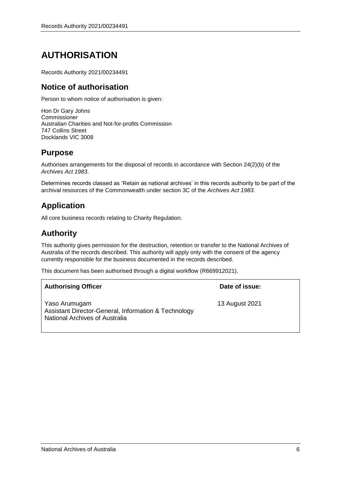# **AUTHORISATION**

Records Authority 2021/00234491

### **Notice of authorisation**

Person to whom notice of authorisation is given:

Hon Dr Gary Johns Commissioner Australian Charities and Not-for-profits Commission 747 Collins Street Docklands VIC 3008

### **Purpose**

Authorises arrangements for the disposal of records in accordance with Section 24(2)(b) of the *Archives Act 1983*.

Determines records classed as 'Retain as national archives' in this records authority to be part of the archival resources of the Commonwealth under section 3C of the *Archives Act 1983*.

### **Application**

All core business records relating to Charity Regulation.

### **Authority**

This authority gives permission for the destruction, retention or transfer to the National Archives of Australia of the records described. This authority will apply only with the consent of the agency currently responsible for the business documented in the records described.

This document has been authorised through a digital workflow (R669912021).

| <b>Authorising Officer</b>                                                                              | Date of issue: |
|---------------------------------------------------------------------------------------------------------|----------------|
| Yaso Arumugam<br>Assistant Director-General, Information & Technology<br>National Archives of Australia | 13 August 2021 |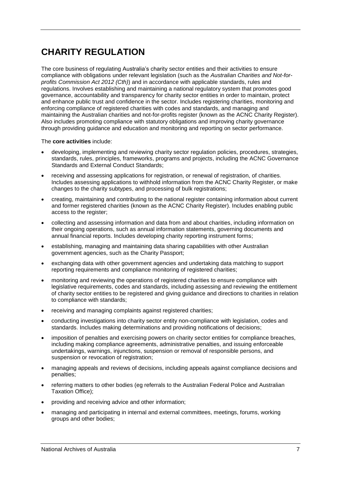The core business of regulating Australia's charity sector entities and their activities to ensure compliance with obligations under relevant legislation (such as the *Australian Charities and Not-forprofits Commission Act 2012 (Cth)*) and in accordance with applicable standards, rules and regulations. Involves establishing and maintaining a national regulatory system that promotes good governance, accountability and transparency for charity sector entities in order to maintain, protect and enhance public trust and confidence in the sector. Includes registering charities, monitoring and enforcing compliance of registered charities with codes and standards, and managing and maintaining the Australian charities and not-for-profits register (known as the ACNC Charity Register). Also includes promoting compliance with statutory obligations and improving charity governance through providing guidance and education and monitoring and reporting on sector performance.

The **core activities** include:

- developing, implementing and reviewing charity sector regulation policies, procedures, strategies, standards, rules, principles, frameworks, programs and projects, including the ACNC Governance Standards and External Conduct Standards;
- receiving and assessing applications for registration, or renewal of registration, of charities. Includes assessing applications to withhold information from the ACNC Charity Register, or make changes to the charity subtypes, and processing of bulk registrations;
- creating, maintaining and contributing to the national register containing information about current and former registered charities (known as the ACNC Charity Register). Includes enabling public access to the register:
- collecting and assessing information and data from and about charities, including information on their ongoing operations, such as annual information statements, governing documents and annual financial reports. Includes developing charity reporting instrument forms;
- establishing, managing and maintaining data sharing capabilities with other Australian government agencies, such as the Charity Passport;
- exchanging data with other government agencies and undertaking data matching to support reporting requirements and compliance monitoring of registered charities;
- monitoring and reviewing the operations of registered charities to ensure compliance with legislative requirements, codes and standards, including assessing and reviewing the entitlement of charity sector entities to be registered and giving guidance and directions to charities in relation to compliance with standards;
- receiving and managing complaints against registered charities;
- conducting investigations into charity sector entity non-compliance with legislation, codes and standards. Includes making determinations and providing notifications of decisions;
- imposition of penalties and exercising powers on charity sector entities for compliance breaches, including making compliance agreements, administrative penalties, and issuing enforceable undertakings, warnings, injunctions, suspension or removal of responsible persons, and suspension or revocation of registration;
- managing appeals and reviews of decisions, including appeals against compliance decisions and penalties;
- referring matters to other bodies (eg referrals to the Australian Federal Police and Australian Taxation Office);
- providing and receiving advice and other information;
- managing and participating in internal and external committees, meetings, forums, working groups and other bodies;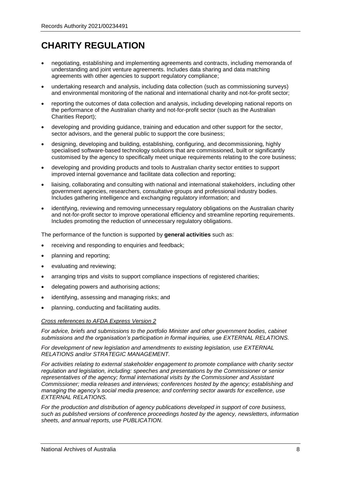- negotiating, establishing and implementing agreements and contracts, including memoranda of understanding and joint venture agreements. Includes data sharing and data matching agreements with other agencies to support regulatory compliance;
- undertaking research and analysis, including data collection (such as commissioning surveys) and environmental monitoring of the national and international charity and not-for-profit sector;
- reporting the outcomes of data collection and analysis, including developing national reports on the performance of the Australian charity and not-for-profit sector (such as the Australian Charities Report);
- developing and providing guidance, training and education and other support for the sector, sector advisors, and the general public to support the core business;
- designing, developing and building, establishing, configuring, and decommissioning, highly specialised software-based technology solutions that are commissioned, built or significantly customised by the agency to specifically meet unique requirements relating to the core business;
- developing and providing products and tools to Australian charity sector entities to support improved internal governance and facilitate data collection and reporting;
- liaising, collaborating and consulting with national and international stakeholders, including other government agencies, researchers, consultative groups and professional industry bodies. Includes gathering intelligence and exchanging regulatory information; and
- identifying, reviewing and removing unnecessary regulatory obligations on the Australian charity and not-for-profit sector to improve operational efficiency and streamline reporting requirements. Includes promoting the reduction of unnecessary regulatory obligations.

The performance of the function is supported by **general activities** such as:

- receiving and responding to enquiries and feedback;
- planning and reporting;
- evaluating and reviewing;
- arranging trips and visits to support compliance inspections of registered charities;
- delegating powers and authorising actions;
- identifying, assessing and managing risks; and
- planning, conducting and facilitating audits.

#### *Cross references to AFDA Express Version 2*

*For advice, briefs and submissions to the portfolio Minister and other government bodies, cabinet submissions and the organisation's participation in formal inquiries, use EXTERNAL RELATIONS.* 

*For development of new legislation and amendments to existing legislation, use EXTERNAL RELATIONS and/or STRATEGIC MANAGEMENT.* 

*For activities relating to external stakeholder engagement to promote compliance with charity sector regulation and legislation, including: speeches and presentations by the Commissioner or senior representatives of the agency; formal international visits by the Commissioner and Assistant Commissioner; media releases and interviews; conferences hosted by the agency; establishing and managing the agency's social media presence; and conferring sector awards for excellence, use EXTERNAL RELATIONS.*

*For the production and distribution of agency publications developed in support of core business, such as published versions of conference proceedings hosted by the agency, newsletters, information sheets, and annual reports, use PUBLICATION.*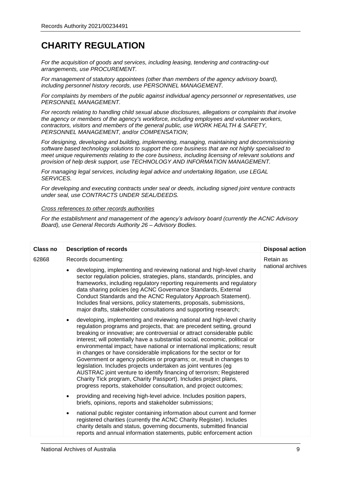*For the acquisition of goods and services, including leasing, tendering and contracting-out arrangements, use PROCUREMENT.*

*For management of statutory appointees (other than members of the agency advisory board), including personnel history records, use PERSONNEL MANAGEMENT.*

*For complaints by members of the public against individual agency personnel or representatives, use PERSONNEL MANAGEMENT.*

*For records relating to handling child sexual abuse disclosures, allegations or complaints that involve the agency or members of the agency's workforce, including employees and volunteer workers, contractors, visitors and members of the general public, use WORK HEALTH & SAFETY, PERSONNEL MANAGEMENT, and/or COMPENSATION*;

*For designing, developing and building, implementing, managing, maintaining and decommissioning software based technology solutions to support the core business that are not highly specialised to meet unique requirements relating to the core business, including licensing of relevant solutions and provision of help desk support, use TECHNOLOGY AND INFORMATION MANAGEMENT.*

*For managing legal services, including legal advice and undertaking litigation, use LEGAL SERVICES.* 

*For developing and executing contracts under seal or deeds, including signed joint venture contracts under seal, use CONTRACTS UNDER SEAL/DEEDS.* 

### *Cross references to other records authorities*

*For the establishment and management of the agency's advisory board (currently the ACNC Advisory Board), use General Records Authority 26 – Advisory Bodies.*

| Class no | <b>Description of records</b>                                                                                                                                                                                                                                                                                                                                                                                                                                                                                                                                                                                                                                                                                                                                                                                                          | <b>Disposal action</b>         |
|----------|----------------------------------------------------------------------------------------------------------------------------------------------------------------------------------------------------------------------------------------------------------------------------------------------------------------------------------------------------------------------------------------------------------------------------------------------------------------------------------------------------------------------------------------------------------------------------------------------------------------------------------------------------------------------------------------------------------------------------------------------------------------------------------------------------------------------------------------|--------------------------------|
| 62868    | Records documenting:<br>developing, implementing and reviewing national and high-level charity<br>sector regulation policies, strategies, plans, standards, principles, and<br>frameworks, including regulatory reporting requirements and regulatory<br>data sharing policies (eg ACNC Governance Standards, External<br>Conduct Standards and the ACNC Regulatory Approach Statement).<br>Includes final versions, policy statements, proposals, submissions,<br>major drafts, stakeholder consultations and supporting research;                                                                                                                                                                                                                                                                                                    | Retain as<br>national archives |
|          | developing, implementing and reviewing national and high-level charity<br>$\bullet$<br>regulation programs and projects, that: are precedent setting, ground<br>breaking or innovative; are controversial or attract considerable public<br>interest; will potentially have a substantial social, economic, political or<br>environmental impact; have national or international implications; result<br>in changes or have considerable implications for the sector or for<br>Government or agency policies or programs; or, result in changes to<br>legislation. Includes projects undertaken as joint ventures (eg<br>AUSTRAC joint venture to identify financing of terrorism; Registered<br>Charity Tick program, Charity Passport). Includes project plans,<br>progress reports, stakeholder consultation, and project outcomes; |                                |
|          | providing and receiving high-level advice. Includes position papers,<br>$\bullet$<br>briefs, opinions, reports and stakeholder submissions;                                                                                                                                                                                                                                                                                                                                                                                                                                                                                                                                                                                                                                                                                            |                                |
|          | national public register containing information about current and former<br>$\bullet$<br>registered charities (currently the ACNC Charity Register). Includes<br>charity details and status, governing documents, submitted financial<br>reports and annual information statements, public enforcement action                                                                                                                                                                                                                                                                                                                                                                                                                                                                                                                          |                                |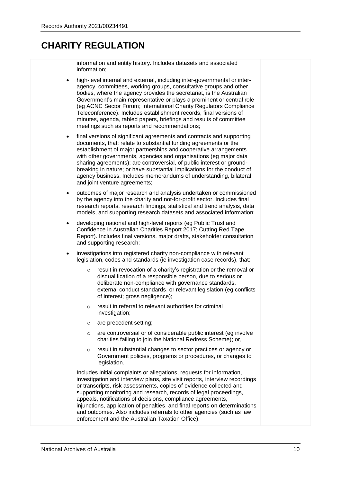information and entity history. Includes datasets and associated information;

- high-level internal and external, including inter-governmental or interagency, committees, working groups, consultative groups and other bodies, where the agency provides the secretariat, is the Australian Government's main representative or plays a prominent or central role (eg ACNC Sector Forum; International Charity Regulators Compliance Teleconference). Includes establishment records, final versions of minutes, agenda, tabled papers, briefings and results of committee meetings such as reports and recommendations;
- final versions of significant agreements and contracts and supporting documents, that: relate to substantial funding agreements or the establishment of major partnerships and cooperative arrangements with other governments, agencies and organisations (eg major data sharing agreements); are controversial, of public interest or groundbreaking in nature; or have substantial implications for the conduct of agency business. Includes memorandums of understanding, bilateral and joint venture agreements;
- outcomes of major research and analysis undertaken or commissioned by the agency into the charity and not-for-profit sector. Includes final research reports, research findings, statistical and trend analysis, data models, and supporting research datasets and associated information;
- developing national and high-level reports (eg Public Trust and Confidence in Australian Charities Report 2017; Cutting Red Tape Report). Includes final versions, major drafts, stakeholder consultation and supporting research;
- investigations into registered charity non-compliance with relevant legislation, codes and standards (ie investigation case records), that:
	- o result in revocation of a charity's registration or the removal or disqualification of a responsible person, due to serious or deliberate non-compliance with governance standards, external conduct standards, or relevant legislation (eg conflicts of interest; gross negligence);
	- o result in referral to relevant authorities for criminal investigation;
	- o are precedent setting;
	- o are controversial or of considerable public interest (eg involve charities failing to join the National Redress Scheme); or,
	- o result in substantial changes to sector practices or agency or Government policies, programs or procedures, or changes to legislation.

Includes initial complaints or allegations, requests for information, investigation and interview plans, site visit reports, interview recordings or transcripts, risk assessments, copies of evidence collected and supporting monitoring and research, records of legal proceedings, appeals, notifications of decisions, compliance agreements, injunctions, application of penalties, and final reports on determinations and outcomes. Also includes referrals to other agencies (such as law enforcement and the Australian Taxation Office).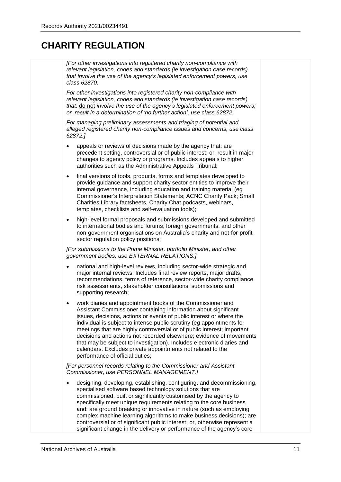*[For other investigations into registered charity non-compliance with relevant legislation, codes and standards (ie investigation case records) that involve the use of the agency's legislated enforcement powers, use class 62870.*

*For other investigations into registered charity non-compliance with relevant legislation, codes and standards (ie investigation case records) that:* do not *involve the use of the agency's legislated enforcement powers; or, result in a determination of 'no further action', use class 62872.*

*For managing preliminary assessments and triaging of potential and alleged registered charity non-compliance issues and concerns, use class 62872.]* 

- appeals or reviews of decisions made by the agency that: are precedent setting, controversial or of public interest; or, result in major changes to agency policy or programs. Includes appeals to higher authorities such as the Administrative Appeals Tribunal;
- final versions of tools, products, forms and templates developed to provide guidance and support charity sector entities to improve their internal governance, including education and training material (eg Commissioner's Interpretation Statements; ACNC Charity Pack; Small Charities Library factsheets, Charity Chat podcasts, webinars, templates, checklists and self-evaluation tools);
- high-level formal proposals and submissions developed and submitted to international bodies and forums, foreign governments, and other non-government organisations on Australia's charity and not-for-profit sector regulation policy positions;

*[For submissions to the Prime Minister, portfolio Minister, and other government bodies, use EXTERNAL RELATIONS.]*

- national and high-level reviews, including sector-wide strategic and major internal reviews. Includes final review reports, major drafts, recommendations, terms of reference, sector-wide charity compliance risk assessments, stakeholder consultations, submissions and supporting research;
- work diaries and appointment books of the Commissioner and Assistant Commissioner containing information about significant issues, decisions, actions or events of public interest or where the individual is subject to intense public scrutiny (eg appointments for meetings that are highly controversial or of public interest; important decisions and actions not recorded elsewhere; evidence of movements that may be subject to investigation). Includes electronic diaries and calendars. Excludes private appointments not related to the performance of official duties;

*[For personnel records relating to the Commissioner and Assistant Commissioner, use PERSONNEL MANAGEMENT.]*

• designing, developing, establishing, configuring, and decommissioning, specialised software based technology solutions that are commissioned, built or significantly customised by the agency to specifically meet unique requirements relating to the core business and: are ground breaking or innovative in nature (such as employing complex machine learning algorithms to make business decisions); are controversial or of significant public interest; or, otherwise represent a significant change in the delivery or performance of the agency's core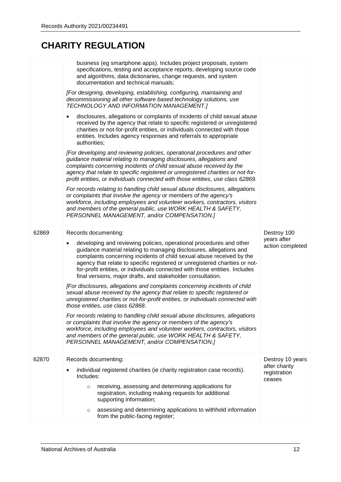|       | business (eg smartphone apps). Includes project proposals, system<br>specifications, testing and acceptance reports, developing source code<br>and algorithms, data dictionaries, change requests, and system<br>documentation and technical manuals;<br>[For designing, developing, establishing, configuring, maintaining and<br>decommissioning all other software based technology solutions, use<br>TECHNOLOGY AND INFORMATION MANAGEMENT.]<br>disclosures, allegations or complaints of incidents of child sexual abuse<br>$\bullet$<br>received by the agency that relate to specific registered or unregistered<br>charities or not-for-profit entities, or individuals connected with those<br>entities. Includes agency responses and referrals to appropriate<br>authorities;<br>[For developing and reviewing policies, operational procedures and other<br>guidance material relating to managing disclosures, allegations and<br>complaints concerning incidents of child sexual abuse received by the<br>agency that relate to specific registered or unregistered charities or not-for-<br>profit entities, or individuals connected with those entities, use class 62869.<br>For records relating to handling child sexual abuse disclosures, allegations<br>or complaints that involve the agency or members of the agency's<br>workforce, including employees and volunteer workers, contractors, visitors<br>and members of the general public, use WORK HEALTH & SAFETY,<br>PERSONNEL MANAGEMENT, and/or COMPENSATION.] |                                                             |
|-------|----------------------------------------------------------------------------------------------------------------------------------------------------------------------------------------------------------------------------------------------------------------------------------------------------------------------------------------------------------------------------------------------------------------------------------------------------------------------------------------------------------------------------------------------------------------------------------------------------------------------------------------------------------------------------------------------------------------------------------------------------------------------------------------------------------------------------------------------------------------------------------------------------------------------------------------------------------------------------------------------------------------------------------------------------------------------------------------------------------------------------------------------------------------------------------------------------------------------------------------------------------------------------------------------------------------------------------------------------------------------------------------------------------------------------------------------------------------------------------------------------------------------------------------------|-------------------------------------------------------------|
| 62869 | Records documenting:<br>developing and reviewing policies, operational procedures and other<br>guidance material relating to managing disclosures, allegations and<br>complaints concerning incidents of child sexual abuse received by the<br>agency that relate to specific registered or unregistered charities or not-<br>for-profit entities, or individuals connected with those entities. Includes<br>final versions, major drafts, and stakeholder consultation.<br>[For disclosures, allegations and complaints concerning incidents of child<br>sexual abuse received by the agency that relate to specific registered or<br>unregistered charities or not-for-profit entities, or individuals connected with<br>those entities, use class 62868.<br>For records relating to handling child sexual abuse disclosures, allegations<br>or complaints that involve the agency or members of the agency's<br>workforce, including employees and volunteer workers, contractors, visitors<br>and members of the general public, use WORK HEALTH & SAFETY,<br>PERSONNEL MANAGEMENT, and/or COMPENSATION.]                                                                                                                                                                                                                                                                                                                                                                                                                                | Destroy 100<br>years after<br>action completed              |
| 62870 | Records documenting:<br>individual registered charities (ie charity registration case records).<br>Includes:<br>receiving, assessing and determining applications for<br>$\circ$<br>registration, including making requests for additional<br>supporting information;<br>assessing and determining applications to withhold information<br>$\circ$<br>from the public-facing register;                                                                                                                                                                                                                                                                                                                                                                                                                                                                                                                                                                                                                                                                                                                                                                                                                                                                                                                                                                                                                                                                                                                                                       | Destroy 10 years<br>after charity<br>registration<br>ceases |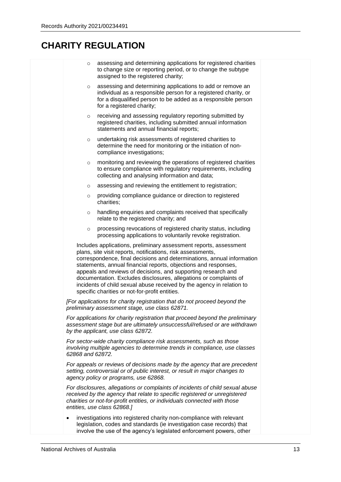| $\circ$          | assessing and determining applications for registered charities<br>to change size or reporting period, or to change the subtype<br>assigned to the registered charity;                                                                                                                                                                                                                                                                                                                                                                         |  |
|------------------|------------------------------------------------------------------------------------------------------------------------------------------------------------------------------------------------------------------------------------------------------------------------------------------------------------------------------------------------------------------------------------------------------------------------------------------------------------------------------------------------------------------------------------------------|--|
| $\circ$          | assessing and determining applications to add or remove an<br>individual as a responsible person for a registered charity, or<br>for a disqualified person to be added as a responsible person<br>for a registered charity;                                                                                                                                                                                                                                                                                                                    |  |
| $\circ$          | receiving and assessing regulatory reporting submitted by<br>registered charities, including submitted annual information<br>statements and annual financial reports;                                                                                                                                                                                                                                                                                                                                                                          |  |
| $\circ$          | undertaking risk assessments of registered charities to<br>determine the need for monitoring or the initiation of non-<br>compliance investigations;                                                                                                                                                                                                                                                                                                                                                                                           |  |
| $\circ$          | monitoring and reviewing the operations of registered charities<br>to ensure compliance with regulatory requirements, including<br>collecting and analysing information and data;                                                                                                                                                                                                                                                                                                                                                              |  |
| $\circ$          | assessing and reviewing the entitlement to registration;                                                                                                                                                                                                                                                                                                                                                                                                                                                                                       |  |
| $\circ$          | providing compliance guidance or direction to registered<br>charities;                                                                                                                                                                                                                                                                                                                                                                                                                                                                         |  |
| $\circ$          | handling enquiries and complaints received that specifically<br>relate to the registered charity; and                                                                                                                                                                                                                                                                                                                                                                                                                                          |  |
| $\circ$          | processing revocations of registered charity status, including<br>processing applications to voluntarily revoke registration.                                                                                                                                                                                                                                                                                                                                                                                                                  |  |
|                  | Includes applications, preliminary assessment reports, assessment<br>plans, site visit reports, notifications, risk assessments,<br>correspondence, final decisions and determinations, annual information<br>statements, annual financial reports, objections and responses,<br>appeals and reviews of decisions, and supporting research and<br>documentation. Excludes disclosures, allegations or complaints of<br>incidents of child sexual abuse received by the agency in relation to<br>specific charities or not-for-profit entities. |  |
|                  | [For applications for charity registration that do not proceed beyond the<br>preliminary assessment stage, use class 62871.                                                                                                                                                                                                                                                                                                                                                                                                                    |  |
|                  | For applications for charity registration that proceed beyond the preliminary<br>assessment stage but are ultimately unsuccessful/refused or are withdrawn<br>by the applicant, use class 62872.                                                                                                                                                                                                                                                                                                                                               |  |
| 62868 and 62872. | For sector-wide charity compliance risk assessments, such as those<br>involving multiple agencies to determine trends in compliance, use classes                                                                                                                                                                                                                                                                                                                                                                                               |  |
|                  | For appeals or reviews of decisions made by the agency that are precedent<br>setting, controversial or of public interest, or result in major changes to<br>agency policy or programs, use 62868.                                                                                                                                                                                                                                                                                                                                              |  |
|                  | For disclosures, allegations or complaints of incidents of child sexual abuse<br>received by the agency that relate to specific registered or unregistered<br>charities or not-for-profit entities, or individuals connected with those<br>entities, use class 62868.]                                                                                                                                                                                                                                                                         |  |
|                  | investigations into registered charity non-compliance with relevant<br>legislation, codes and standards (ie investigation case records) that<br>involve the use of the agency's legislated enforcement powers, other                                                                                                                                                                                                                                                                                                                           |  |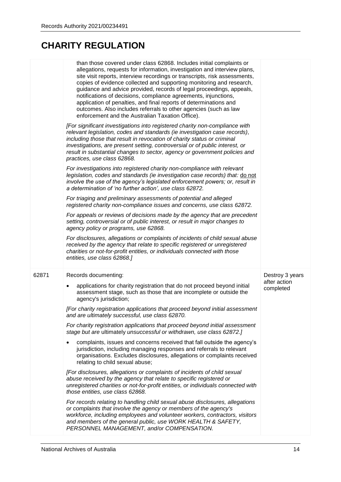|       | than those covered under class 62868. Includes initial complaints or<br>allegations, requests for information, investigation and interview plans,<br>site visit reports, interview recordings or transcripts, risk assessments,<br>copies of evidence collected and supporting monitoring and research,<br>guidance and advice provided, records of legal proceedings, appeals,<br>notifications of decisions, compliance agreements, injunctions,<br>application of penalties, and final reports of determinations and<br>outcomes. Also includes referrals to other agencies (such as law<br>enforcement and the Australian Taxation Office). |                           |
|-------|-------------------------------------------------------------------------------------------------------------------------------------------------------------------------------------------------------------------------------------------------------------------------------------------------------------------------------------------------------------------------------------------------------------------------------------------------------------------------------------------------------------------------------------------------------------------------------------------------------------------------------------------------|---------------------------|
|       | [For significant investigations into registered charity non-compliance with<br>relevant legislation, codes and standards (ie investigation case records),<br>including those that result in revocation of charity status or criminal<br>investigations, are present setting, controversial or of public interest, or<br>result in substantial changes to sector, agency or government policies and<br>practices, use class 62868.                                                                                                                                                                                                               |                           |
|       | For investigations into registered charity non-compliance with relevant<br>legislation, codes and standards (ie investigation case records) that: do not<br>involve the use of the agency's legislated enforcement powers; or, result in<br>a determination of 'no further action', use class 62872.                                                                                                                                                                                                                                                                                                                                            |                           |
|       | For triaging and preliminary assessments of potential and alleged<br>registered charity non-compliance issues and concerns, use class 62872.                                                                                                                                                                                                                                                                                                                                                                                                                                                                                                    |                           |
|       | For appeals or reviews of decisions made by the agency that are precedent<br>setting, controversial or of public interest, or result in major changes to<br>agency policy or programs, use 62868.                                                                                                                                                                                                                                                                                                                                                                                                                                               |                           |
|       | For disclosures, allegations or complaints of incidents of child sexual abuse<br>received by the agency that relate to specific registered or unregistered<br>charities or not-for-profit entities, or individuals connected with those                                                                                                                                                                                                                                                                                                                                                                                                         |                           |
|       | entities, use class 62868.]                                                                                                                                                                                                                                                                                                                                                                                                                                                                                                                                                                                                                     |                           |
| 62871 | Records documenting:                                                                                                                                                                                                                                                                                                                                                                                                                                                                                                                                                                                                                            | Destroy 3 years           |
|       | applications for charity registration that do not proceed beyond initial<br>assessment stage, such as those that are incomplete or outside the<br>agency's jurisdiction;                                                                                                                                                                                                                                                                                                                                                                                                                                                                        | after action<br>completed |
|       | [For charity registration applications that proceed beyond initial assessment<br>and are ultimately successful, use class 62870.                                                                                                                                                                                                                                                                                                                                                                                                                                                                                                                |                           |
|       | For charity registration applications that proceed beyond initial assessment<br>stage but are ultimately unsuccessful or withdrawn, use class 62872.]                                                                                                                                                                                                                                                                                                                                                                                                                                                                                           |                           |
|       | complaints, issues and concerns received that fall outside the agency's<br>jurisdiction, including managing responses and referrals to relevant<br>organisations. Excludes disclosures, allegations or complaints received<br>relating to child sexual abuse;                                                                                                                                                                                                                                                                                                                                                                                   |                           |
|       | [For disclosures, allegations or complaints of incidents of child sexual<br>abuse received by the agency that relate to specific registered or<br>unregistered charities or not-for-profit entities, or individuals connected with<br>those entities, use class 62868.                                                                                                                                                                                                                                                                                                                                                                          |                           |